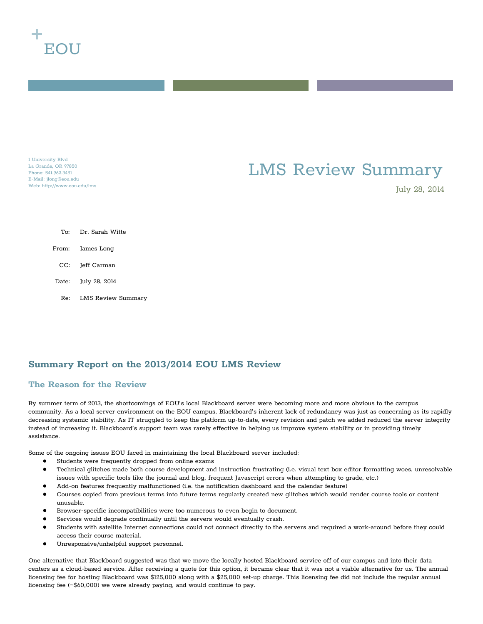

1 University Blvd La Grande, OR 97850 Phone: 541.962.3451 E-Mail: jlong@eou.edu Web: http://www.eou.edu/lms

# LMS Review Summary

July 28, 2014

To: Dr. Sarah Witte From: James Long CC: Jeff Carman Date: July 28, 2014 Re: LMS Review Summary

# **Summary Report on the 2013/2014 EOU LMS Review**

## **The Reason for the Review**

By summer term of 2013, the shortcomings of EOU's local Blackboard server were becoming more and more obvious to the campus community. As a local server environment on the EOU campus, Blackboard's inherent lack of redundancy was just as concerning as its rapidly decreasing systemic stability. As IT struggled to keep the platform up-to-date, every revision and patch we added reduced the server integrity instead of increasing it. Blackboard's support team was rarely effective in helping us improve system stability or in providing timely assistance.

Some of the ongoing issues EOU faced in maintaining the local Blackboard server included:

- Students were frequently dropped from online exams
- Technical glitches made both course development and instruction frustrating (i.e. visual text box editor formatting woes, unresolvable issues with specific tools like the journal and blog, frequent Javascript errors when attempting to grade, etc.)
- Add-on features frequently malfunctioned (i.e. the notification dashboard and the calendar feature)
- Courses copied from previous terms into future terms regularly created new glitches which would render course tools or content unusable.
- Browser-specific incompatibilities were too numerous to even begin to document.
- Services would degrade continually until the servers would eventually crash.
- Students with satellite Internet connections could not connect directly to the servers and required a work-around before they could access their course material.
- Unresponsive/unhelpful support personnel.

One alternative that Blackboard suggested was that we move the locally hosted Blackboard service off of our campus and into their data centers as a cloud-based service. After receiving a quote for this option, it became clear that it was not a viable alternative for us. The annual licensing fee for hosting Blackboard was \$125,000 along with a \$25,000 set-up charge. This licensing fee did not include the regular annual licensing fee (~\$60,000) we were already paying, and would continue to pay.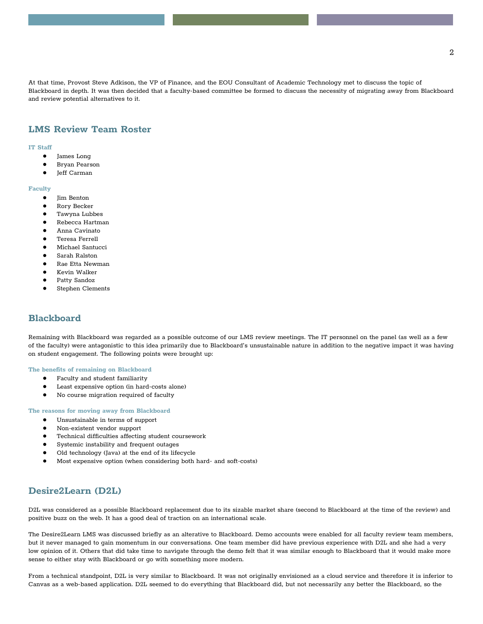At that time, Provost Steve Adkison, the VP of Finance, and the EOU Consultant of Academic Technology met to discuss the topic of Blackboard in depth. It was then decided that a faculty-based committee be formed to discuss the necessity of migrating away from Blackboard and review potential alternatives to it.

## **LMS Review Team Roster**

#### **IT Staff**

- James Long
- Bryan Pearson
- Jeff Carman

#### **Faculty**

- Jim Benton
- Rory Becker
- Tawyna Lubbes
- Rebecca Hartman
- Anna Cavinato
- Teresa Ferrell
- Michael Santucci
- Sarah Ralston
- Rae Etta Newman
- Kevin Walker
- Patty Sandoz
- Stephen Clements

### **Blackboard**

Remaining with Blackboard was regarded as a possible outcome of our LMS review meetings. The IT personnel on the panel (as well as a few of the faculty) were antagonistic to this idea primarily due to Blackboard's unsustainable nature in addition to the negative impact it was having on student engagement. The following points were brought up:

#### **The benefits of remaining on Blackboard**

- Faculty and student familiarity
- Least expensive option (in hard-costs alone)
- No course migration required of faculty

#### **The reasons for moving away from Blackboard**

- Unsustainable in terms of support
- Non-existent vendor support
- Technical difficulties affecting student coursework
- Systemic instability and frequent outages
- Old technology (Java) at the end of its lifecycle
- Most expensive option (when considering both hard- and soft-costs)

### **Desire2Learn (D2L)**

D2L was considered as a possible Blackboard replacement due to its sizable market share (second to Blackboard at the time of the review) and positive buzz on the web. It has a good deal of traction on an international scale.

The Desire2Learn LMS was discussed briefly as an alterative to Blackboard. Demo accounts were enabled for all faculty review team members, but it never managed to gain momentum in our conversations. One team member did have previous experience with D2L and she had a very low opinion of it. Others that did take time to navigate through the demo felt that it was similar enough to Blackboard that it would make more sense to either stay with Blackboard or go with something more modern.

From a technical standpoint, D2L is very similar to Blackboard. It was not originally envisioned as a cloud service and therefore it is inferior to Canvas as a web-based application. D2L seemed to do everything that Blackboard did, but not necessarily any better the Blackboard, so the